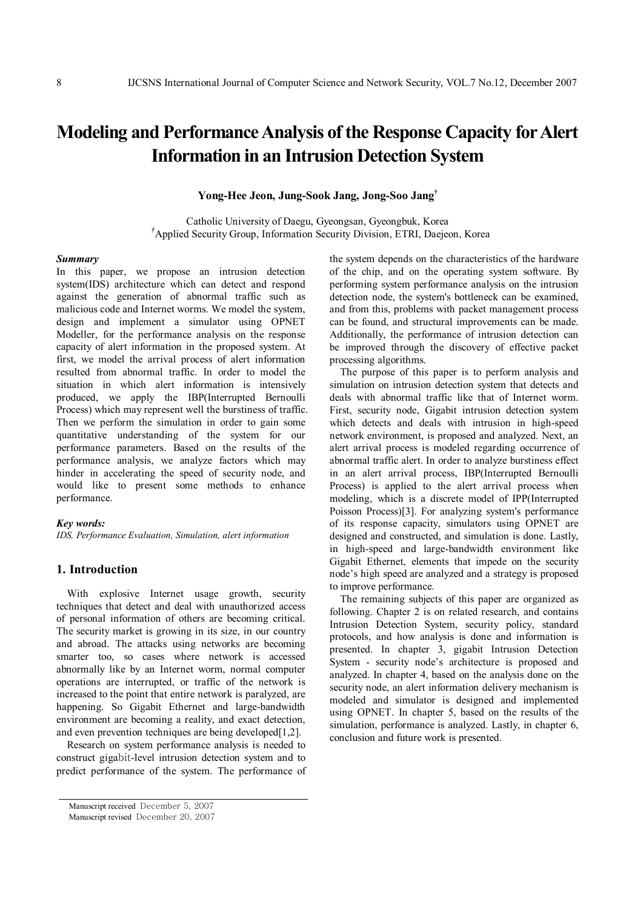# **Modeling and PerformanceAnalysis of the Response Capacity forAlert Information in an Intrusion Detection System**

**Yong-Hee Jeon, Jung-Sook Jang, Jong-Soo Jang †**

Catholic University of Daegu, Gyeongsan, Gyeongbuk, Korea *†*Applied Security Group, Information Security Division, ETRI, Daejeon, Korea

#### *Summary*

In this paper, we propose an intrusion detection system(IDS) architecture which can detect and respond against the generation of abnormal traffic such as malicious code and Internet worms. We model the system, design and implement a simulator using OPNET Modeller, for the performance analysis on the response capacity of alert information in the proposed system. At first, we model the arrival process of alert information resulted from abnormal traffic. In order to model the situation in which alert information is intensively produced, we apply the IBP(Interrupted Bernoulli Process) which may represent well the burstiness of traffic. Then we perform the simulation in order to gain some quantitative understanding of the system for our performance parameters. Based on the results of the performance analysis, we analyze factors which may hinder in accelerating the speed of security node, and would like to present some methods to enhance performance.

#### *Key words:*

*IDS, Performance Evaluation, Simulation, alert information*

## **1. Introduction**

With explosive Internet usage growth, security techniques that detect and deal with unauthorized access of personal information of others are becoming critical. The security market is growing in its size, in our country and abroad. The attacks using networks are becoming smarter too, so cases where network is accessed abnormally like by an Internet worm, normal computer operations are interrupted, or traffic of the network is increased to the point that entire network is paralyzed, are happening. So Gigabit Ethernet and large-bandwidth environment are becoming a reality, and exact detection, and even prevention techniques are being developed[1,2].

Research on system performance analysis is needed to construct gigabit-level intrusion detection system and to predict performance of the system. The performance of the system depends on the characteristics of the hardware of the chip, and on the operating system software. By performing system performance analysis on the intrusion detection node, the system's bottleneck can be examined, and from this, problems with packet management process can be found, and structural improvements can be made. Additionally, the performance of intrusion detection can be improved through the discovery of effective packet processing algorithms.

The purpose of this paper is to perform analysis and simulation on intrusion detection system that detects and deals with abnormal traffic like that of Internet worm. First, security node, Gigabit intrusion detection system which detects and deals with intrusion in high-speed network environment, is proposed and analyzed. Next, an alert arrival process is modeled regarding occurrence of abnormal traffic alert. In order to analyze burstiness effect in an alert arrival process, IBP(Interrupted Bernoulli Process) is applied to the alert arrival process when modeling, which is a discrete model of IPP(Interrupted Poisson Process)[3]. For analyzing system's performance of its response capacity, simulators using OPNET are designed and constructed, and simulation is done. Lastly, in high-speed and large-bandwidth environment like Gigabit Ethernet, elements that impede on the security node's high speed are analyzed and a strategy is proposed to improve performance.

The remaining subjects of this paper are organized as following. Chapter 2 is on related research, and contains Intrusion Detection System, security policy, standard protocols, and how analysis is done and information is presented. In chapter 3, gigabit Intrusion Detection System - security node's architecture is proposed and analyzed. In chapter 4, based on the analysis done on the security node, an alert information delivery mechanism is modeled and simulator is designed and implemented using OPNET. In chapter 5, based on the results of the simulation, performance is analyzed. Lastly, in chapter 6, conclusion and future work is presented.

Manuscript received December 5, 2007

Manuscript revised December 20, 2007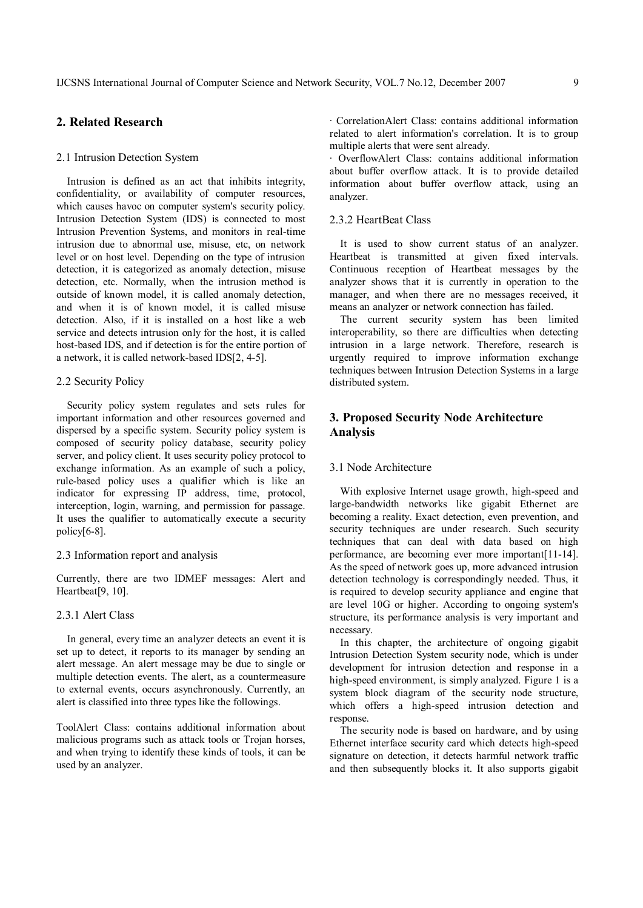# **2. Related Research**

#### 2.1 Intrusion Detection System

Intrusion is defined as an act that inhibits integrity, confidentiality, or availability of computer resources, which causes havoc on computer system's security policy. Intrusion Detection System (IDS) is connected to most Intrusion Prevention Systems, and monitors in real-time intrusion due to abnormal use, misuse, etc, on network level or on host level. Depending on the type of intrusion detection, it is categorized as anomaly detection, misuse detection, etc. Normally, when the intrusion method is outside of known model, it is called anomaly detection, and when it is of known model, it is called misuse detection. Also, if it is installed on a host like a web service and detects intrusion only for the host, it is called host-based IDS, and if detection is for the entire portion of a network, it is called network-based IDS[2, 4-5].

## 2.2 Security Policy

Security policy system regulates and sets rules for important information and other resources governed and dispersed by a specific system. Security policy system is composed of security policy database, security policy server, and policy client. It uses security policy protocol to exchange information. As an example of such a policy, rule-based policy uses a qualifier which is like an indicator for expressing IP address, time, protocol, interception, login, warning, and permission for passage. It uses the qualifier to automatically execute a security policy[6-8].

## 2.3 Information report and analysis

Currently, there are two IDMEF messages: Alert and Heartbeat<sup>[9, 10]</sup>.

## 2.3.1 Alert Class

In general, every time an analyzer detects an event it is set up to detect, it reports to its manager by sending an alert message. An alert message may be due to single or multiple detection events. The alert, as a countermeasure to external events, occurs asynchronously. Currently, an alert is classified into three types like the followings.

ToolAlert Class: contains additional information about malicious programs such as attack tools or Trojan horses, and when trying to identify these kinds of tools, it can be used by an analyzer.

∙ CorrelationAlert Class: contains additional information related to alert information's correlation. It is to group multiple alerts that were sent already.

∙ OverflowAlert Class: contains additional information about buffer overflow attack. It is to provide detailed information about buffer overflow attack, using an analyzer.

## 2.3.2 HeartBeat Class

It is used to show current status of an analyzer. Heartbeat is transmitted at given fixed intervals. Continuous reception of Heartbeat messages by the analyzer shows that it is currently in operation to the manager, and when there are no messages received, it means an analyzer or network connection has failed.

The current security system has been limited interoperability, so there are difficulties when detecting intrusion in a large network. Therefore, research is urgently required to improve information exchange techniques between Intrusion Detection Systems in a large distributed system.

# **3. Proposed Security Node Architecture Analysis**

## 3.1 Node Architecture

With explosive Internet usage growth, high-speed and large-bandwidth networks like gigabit Ethernet are becoming a reality. Exact detection, even prevention, and security techniques are under research. Such security techniques that can deal with data based on high performance, are becoming ever more important[11-14]. As the speed of network goes up, more advanced intrusion detection technology is correspondingly needed. Thus, it is required to develop security appliance and engine that are level 10G or higher. According to ongoing system's structure, its performance analysis is very important and necessary.

In this chapter, the architecture of ongoing gigabit Intrusion Detection System security node, which is under development for intrusion detection and response in a high-speed environment, is simply analyzed. Figure 1 is a system block diagram of the security node structure, which offers a high-speed intrusion detection and response.

The security node is based on hardware, and by using Ethernet interface security card which detects high-speed signature on detection, it detects harmful network traffic and then subsequently blocks it. It also supports gigabit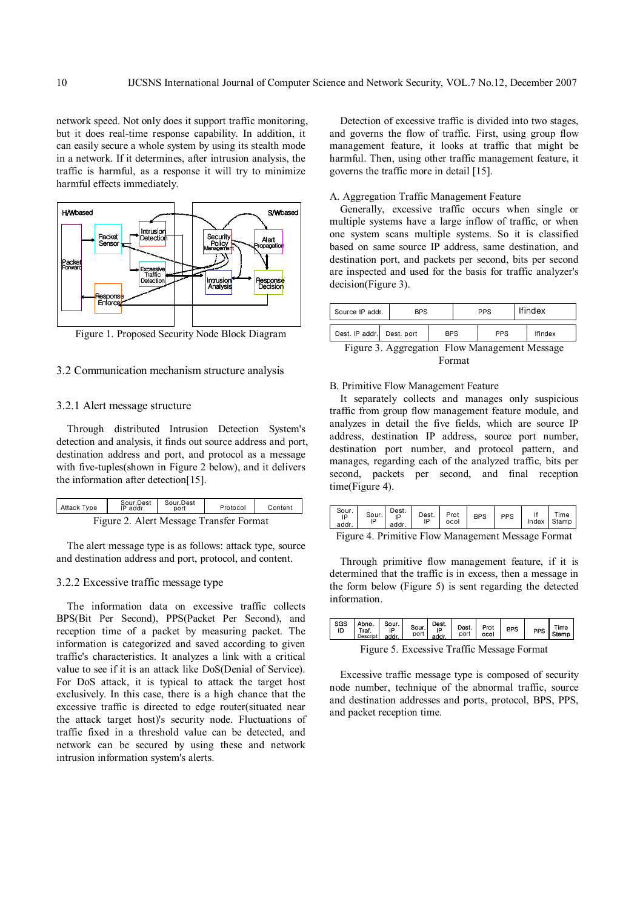network speed. Not only does it support traffic monitoring, but it does real-time response capability. In addition, it can easily secure a whole system by using its stealth mode in a network. If it determines, after intrusion analysis, the traffic is harmful, as a response it will try to minimize harmful effects immediately.



Figure 1. Proposed Security Node Block Diagram

## 3.2 Communication mechanism structure analysis

## 3.2.1 Alert message structure

Through distributed Intrusion Detection System's detection and analysis, it finds out source address and port, destination address and port, and protocol as a message with five-tuples(shown in Figure 2 below), and it delivers the information after detection[15].

| <b>Attack Type</b>                      | Sour.Dest<br>IP addr. | Sour.Dest<br>port | Protocol | Content |
|-----------------------------------------|-----------------------|-------------------|----------|---------|
| Figure 2. Alert Message Transfer Format |                       |                   |          |         |

The alert message type is as follows: attack type, source and destination address and port, protocol, and content.

## 3.2.2 Excessive traffic message type

The information data on excessive traffic collects BPS(Bit Per Second), PPS(Packet Per Second), and reception time of a packet by measuring packet. The information is categorized and saved according to given traffic's characteristics. It analyzes a link with a critical value to see if it is an attack like DoS(Denial of Service). For DoS attack, it is typical to attack the target host exclusively. In this case, there is a high chance that the excessive traffic is directed to edge router(situated near the attack target host)'s security node. Fluctuations of traffic fixed in a threshold value can be detected, and network can be secured by using these and network intrusion information system's alerts.

Detection of excessive traffic is divided into two stages, and governs the flow of traffic. First, using group flow management feature, it looks at traffic that might be harmful. Then, using other traffic management feature, it governs the traffic more in detail [15].

## A. Aggregation Traffic Management Feature

Generally, excessive traffic occurs when single or multiple systems have a large inflow of traffic, or when one system scans multiple systems. So it is classified based on same source IP address, same destination, and destination port, and packets per second, bits per second are inspected and used for the basis for traffic analyzer's decision(Figure 3).

| Source IP addr.           | <b>BPS</b> |  | <b>PPS</b> |  | <b>Ifindex</b> |                |  |
|---------------------------|------------|--|------------|--|----------------|----------------|--|
| Dest, IP addr. Dest, port | <b>BPS</b> |  | <b>PPS</b> |  |                | <b>Ifindex</b> |  |

Figure 3. Aggregation Flow Management Message Format

## B. Primitive Flow Management Feature

It separately collects and manages only suspicious traffic from group flow management feature module, and analyzes in detail the five fields, which are source IP address, destination IP address, source port number, destination port number, and protocol pattern, and manages, regarding each of the analyzed traffic, bits per second, packets per second, and final reception time(Figure 4).

| Sour.<br>IP<br>addr. | Sour. | Dest.<br>IF<br>addr. | Dest.<br>ID | Prot<br>ocol | <b>BPS</b> | PPS | Time<br>Index Stamp |
|----------------------|-------|----------------------|-------------|--------------|------------|-----|---------------------|
| $\sim$               |       |                      |             |              |            |     |                     |

Figure 4. Primitive Flow Management Message Format

Through primitive flow management feature, if it is determined that the traffic is in excess, then a message in the form below (Figure 5) is sent regarding the detected information.

| <b>SGS</b><br>ID | Abno.<br>Traf.<br>Descript | Sour.<br>ΙP<br>addr. | Sour.<br>port | Dest.<br>IP<br>addr | Dest.<br>port | Prot<br>ocol | <b>BPS</b> | PPS | Time<br>Stamp |
|------------------|----------------------------|----------------------|---------------|---------------------|---------------|--------------|------------|-----|---------------|
|                  |                            |                      |               |                     |               |              |            |     |               |

Figure 5. Excessive Traffic Message Format

Excessive traffic message type is composed of security node number, technique of the abnormal traffic, source and destination addresses and ports, protocol, BPS, PPS, and packet reception time.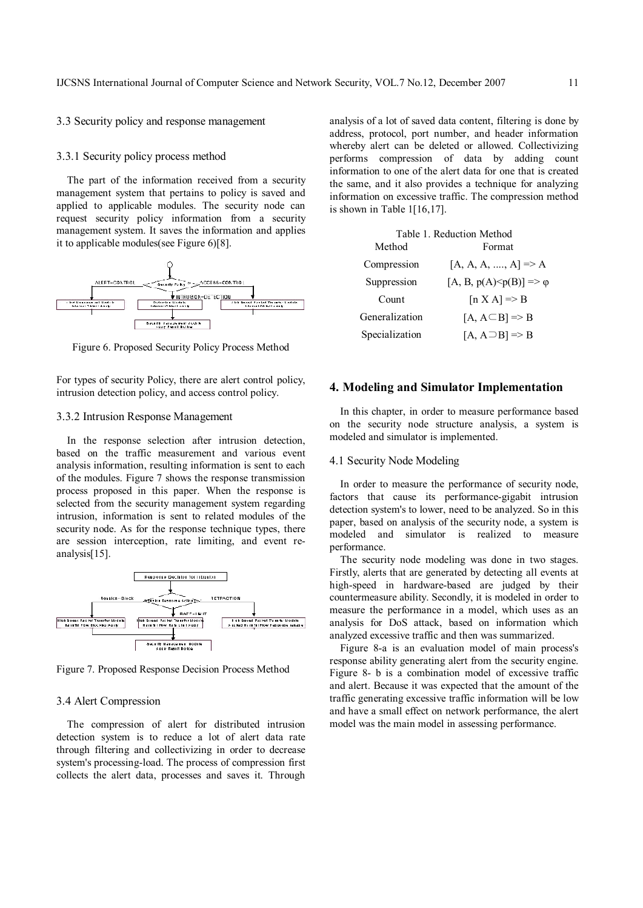## 3.3 Security policy and response management

## 3.3.1 Security policy process method

The part of the information received from a security management system that pertains to policy is saved and applied to applicable modules. The security node can request security policy information from a security management system. It saves the information and applies it to applicable modules(see Figure 6)[8].



Figure 6. Proposed Security Policy Process Method

For types of security Policy, there are alert control policy, intrusion detection policy, and access control policy.

## 3.3.2 Intrusion Response Management

In the response selection after intrusion detection, based on the traffic measurement and various event analysis information, resulting information is sent to each of the modules. Figure 7 shows the response transmission process proposed in this paper. When the response is selected from the security management system regarding intrusion, information is sent to related modules of the security node. As for the response technique types, there are session interception, rate limiting, and event reanalysis[15].



Figure 7. Proposed Response Decision Process Method

## 3.4 Alert Compression

The compression of alert for distributed intrusion detection system is to reduce a lot of alert data rate through filtering and collectivizing in order to decrease system's processing-load. The process of compression first collects the alert data, processes and saves it. Through

analysis of a lot of saved data content, filtering is done by address, protocol, port number, and header information whereby alert can be deleted or allowed. Collectivizing performs compression of data by adding count information to one of the alert data for one that is created the same, and it also provides a technique for analyzing information on excessive traffic. The compression method is shown in Table 1[16,17].

|                | Table 1. Reduction Method                    |  |  |  |  |
|----------------|----------------------------------------------|--|--|--|--|
| Method         | Format                                       |  |  |  |  |
| Compression    | $[A, A, A, , A] \Rightarrow A$               |  |  |  |  |
| Suppression    | $[A, B, p(A) \leq p(B)] \Rightarrow \varphi$ |  |  |  |  |
| Count          | $[n X A] \Rightarrow B$                      |  |  |  |  |
| Generalization | $[A, A \subseteq B] \Rightarrow B$           |  |  |  |  |
| Specialization | $[A, A \supset B] \Rightarrow B$             |  |  |  |  |

## **4. Modeling and Simulator Implementation**

In this chapter, in order to measure performance based on the security node structure analysis, a system is modeled and simulator is implemented.

## 4.1 Security Node Modeling

In order to measure the performance of security node, factors that cause its performance-gigabit intrusion detection system's to lower, need to be analyzed. So in this paper, based on analysis of the security node, a system is modeled and simulator is realized to measure performance.

The security node modeling was done in two stages. Firstly, alerts that are generated by detecting all events at high-speed in hardware-based are judged by their countermeasure ability. Secondly, it is modeled in order to measure the performance in a model, which uses as an analysis for DoS attack, based on information which analyzed excessive traffic and then was summarized.

Figure 8-a is an evaluation model of main process's response ability generating alert from the security engine. Figure 8- b is a combination model of excessive traffic and alert. Because it was expected that the amount of the traffic generating excessive traffic information will be low and have a small effect on network performance, the alert model was the main model in assessing performance.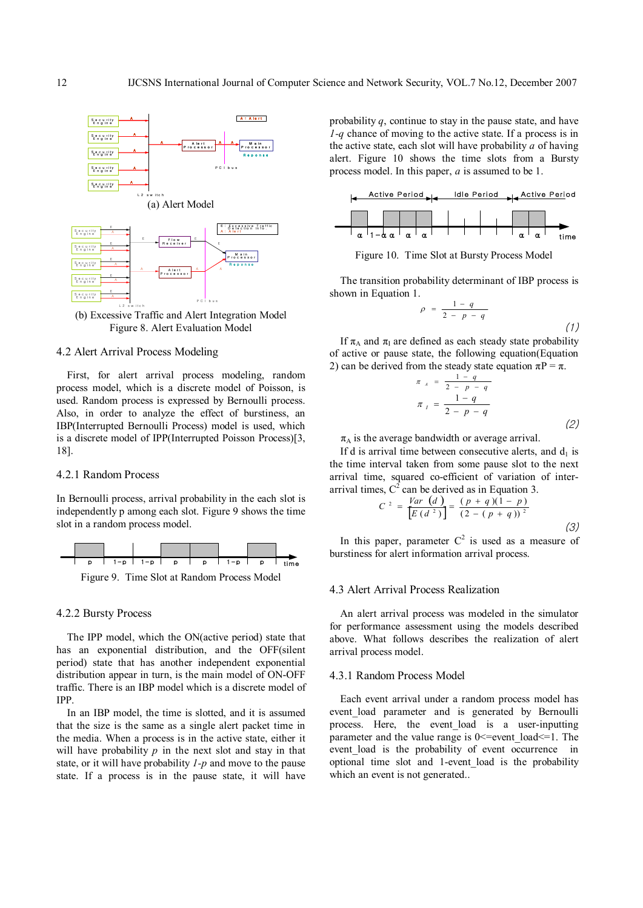

(b) Excessive Traffic and Alert Integration Model Figure 8. Alert Evaluation Model

## 4.2 Alert Arrival Process Modeling

First, for alert arrival process modeling, random process model, which is a discrete model of Poisson, is used. Random process is expressed by Bernoulli process. Also, in order to analyze the effect of burstiness, an IBP(Interrupted Bernoulli Process) model is used, which is a discrete model of IPP(Interrupted Poisson Process)[3, 18].

#### 4.2.1 Random Process

In Bernoulli process, arrival probability in the each slot is independently p among each slot. Figure 9 shows the time slot in a random process model.



#### 4.2.2 Bursty Process

The IPP model, which the ON(active period) state that has an exponential distribution, and the OFF(silent period) state that has another independent exponential distribution appear in turn, is the main model of ON-OFF traffic. There is an IBP model which is a discrete model of IPP.

In an IBP model, the time is slotted, and it is assumed that the size is the same as a single alert packet time in the media. When a process is in the active state, either it will have probability  $p$  in the next slot and stay in that state, or it will have probability *1-p* and move to the pause state. If a process is in the pause state, it will have probability *q*, continue to stay in the pause state, and have *1-q* chance of moving to the active state. If a process is in the active state, each slot will have probability *a* of having alert. Figure 10 shows the time slots from a Bursty process model. In this paper, *a* is assumed to be 1.



Figure 10. Time Slot at Bursty Process Model

The transition probability determinant of IBP process is shown in Equation 1.

$$
\rho = \frac{1-q}{2-p-q} \tag{1}
$$

If  $\pi_A$  and  $\pi_I$  are defined as each steady state probability of active or pause state, the following equation(Equation 2) can be derived from the steady state equation  $\pi P = \pi$ .

$$
\pi_{A} = \frac{1 - q}{2 - p - q}
$$
  

$$
\pi_{I} = \frac{1 - q}{2 - p - q}
$$
 (2)

 $\pi_A$  is the average bandwidth or average arrival.

If d is arrival time between consecutive alerts, and  $d_1$  is the time interval taken from some pause slot to the next arrival time, squared co-efficient of variation of interarrival times,  $C^2$  can be derived as in Equation 3.

$$
C^{2} = \frac{Var\left(d\right)}{\left[E\left(d^{2}\right)\right]} = \frac{(p+q)(1-p)}{(2-(p+q))^{2}}
$$
\n(3)

In this paper, parameter  $C^2$  is used as a measure of burstiness for alert information arrival process.

#### 4.3 Alert Arrival Process Realization

An alert arrival process was modeled in the simulator for performance assessment using the models described above. What follows describes the realization of alert arrival process model.

## 4.3.1 Random Process Model

Each event arrival under a random process model has event load parameter and is generated by Bernoulli process. Here, the event\_load is a user-inputting parameter and the value range is  $0 \le$  = event load $\le$  = 1. The event load is the probability of event occurrence in optional time slot and 1-event\_load is the probability which an event is not generated..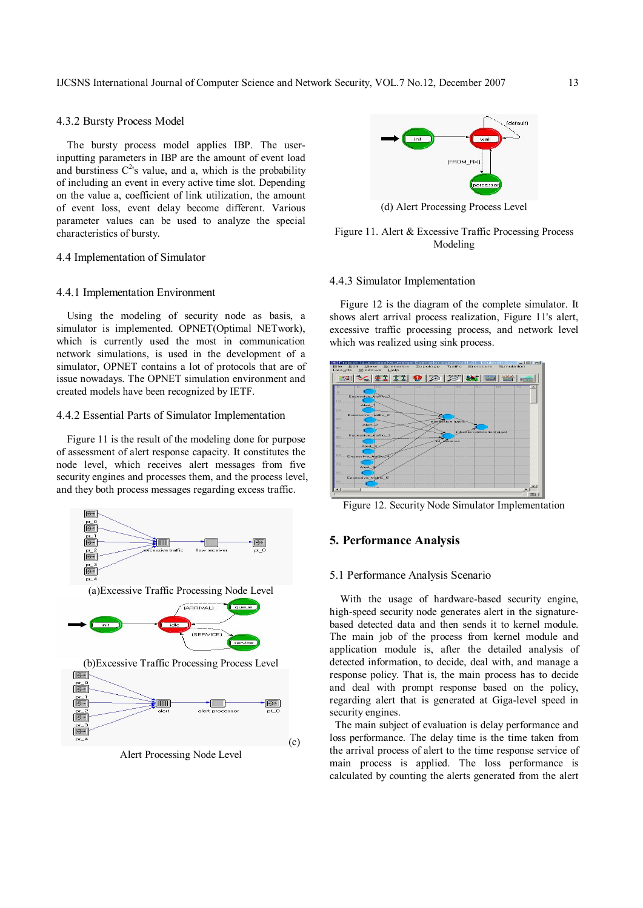## 4.3.2 Bursty Process Model

The bursty process model applies IBP. The userinputting parameters in IBP are the amount of event load and burstiness  $C^{2}$ 's value, and a, which is the probability of including an event in every active time slot. Depending on the value a, coefficient of link utilization, the amount of event loss, event delay become different. Various parameter values can be used to analyze the special characteristics of bursty.

## 4.4 Implementation of Simulator

#### 4.4.1 Implementation Environment

Using the modeling of security node as basis, a simulator is implemented. OPNET(Optimal NETwork), which is currently used the most in communication network simulations, is used in the development of a simulator, OPNET contains a lot of protocols that are of issue nowadays. The OPNET simulation environment and created models have been recognized by IETF.

## 4.4.2 Essential Parts of Simulator Implementation

Figure 11 is the result of the modeling done for purpose of assessment of alert response capacity. It constitutes the node level, which receives alert messages from five security engines and processes them, and the process level, and they both process messages regarding excess traffic.



Alert Processing Node Level



(d) Alert Processing Process Level

## Figure 11. Alert & Excessive Traffic Processing Process Modeling

## 4.4.3 Simulator Implementation

Figure 12 is the diagram of the complete simulator. It shows alert arrival process realization, Figure 11's alert, excessive traffic processing process, and network level which was realized using sink process.



Figure 12. Security Node Simulator Implementation

## **5. Performance Analysis**

## 5.1 Performance Analysis Scenario

With the usage of hardware-based security engine. high-speed security node generates alert in the signaturebased detected data and then sends it to kernel module. The main job of the process from kernel module and application module is, after the detailed analysis of detected information, to decide, deal with, and manage a response policy. That is, the main process has to decide and deal with prompt response based on the policy, regarding alert that is generated at Giga-level speed in security engines.

The main subject of evaluation is delay performance and loss performance. The delay time is the time taken from the arrival process of alert to the time response service of main process is applied. The loss performance is calculated by counting the alerts generated from the alert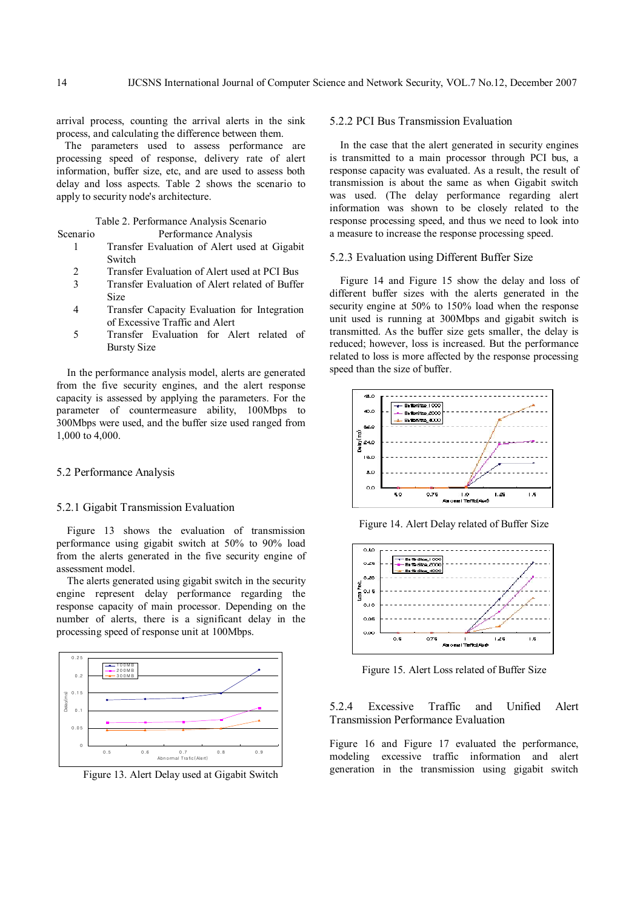arrival process, counting the arrival alerts in the sink process, and calculating the difference between them.

The parameters used to assess performance are processing speed of response, delivery rate of alert information, buffer size, etc, and are used to assess both delay and loss aspects. Table 2 shows the scenario to apply to security node's architecture.

## Table 2. Performance Analysis Scenario

Scenario Performance Analysis

- 1 Transfer Evaluation of Alert used at Gigabit Switch
- 2 Transfer Evaluation of Alert used at PCI Bus
- 3 Transfer Evaluation of Alert related of Buffer Size
- 4 Transfer Capacity Evaluation for Integration of Excessive Traffic and Alert
- 5 Transfer Evaluation for Alert related of Bursty Size

In the performance analysis model, alerts are generated from the five security engines, and the alert response capacity is assessed by applying the parameters. For the parameter of countermeasure ability, 100Mbps to 300Mbps were used, and the buffer size used ranged from 1,000 to 4,000.

## 5.2 Performance Analysis

#### 5.2.1 Gigabit Transmission Evaluation

Figure 13 shows the evaluation of transmission performance using gigabit switch at 50% to 90% load from the alerts generated in the five security engine of assessment model.

The alerts generated using gigabit switch in the security engine represent delay performance regarding the response capacity of main processor. Depending on the number of alerts, there is a significant delay in the processing speed of response unit at 100Mbps.



Figure 13. Alert Delay used at Gigabit Switch

## 5.2.2 PCI Bus Transmission Evaluation

In the case that the alert generated in security engines is transmitted to a main processor through PCI bus, a response capacity was evaluated. As a result, the result of transmission is about the same as when Gigabit switch was used. (The delay performance regarding alert information was shown to be closely related to the response processing speed, and thus we need to look into a measure to increase the response processing speed.

## 5.2.3 Evaluation using Different Buffer Size

Figure 14 and Figure 15 show the delay and loss of different buffer sizes with the alerts generated in the security engine at 50% to 150% load when the response unit used is running at 300Mbps and gigabit switch is transmitted. As the buffer size gets smaller, the delay is reduced; however, loss is increased. But the performance related to loss is more affected by the response processing speed than the size of buffer.



Figure 14. Alert Delay related of Buffer Size



Figure 15. Alert Loss related of Buffer Size

5.2.4 Excessive Traffic and Unified Alert Transmission Performance Evaluation

Figure 16 and Figure 17 evaluated the performance, modeling excessive traffic information and alert generation in the transmission using gigabit switch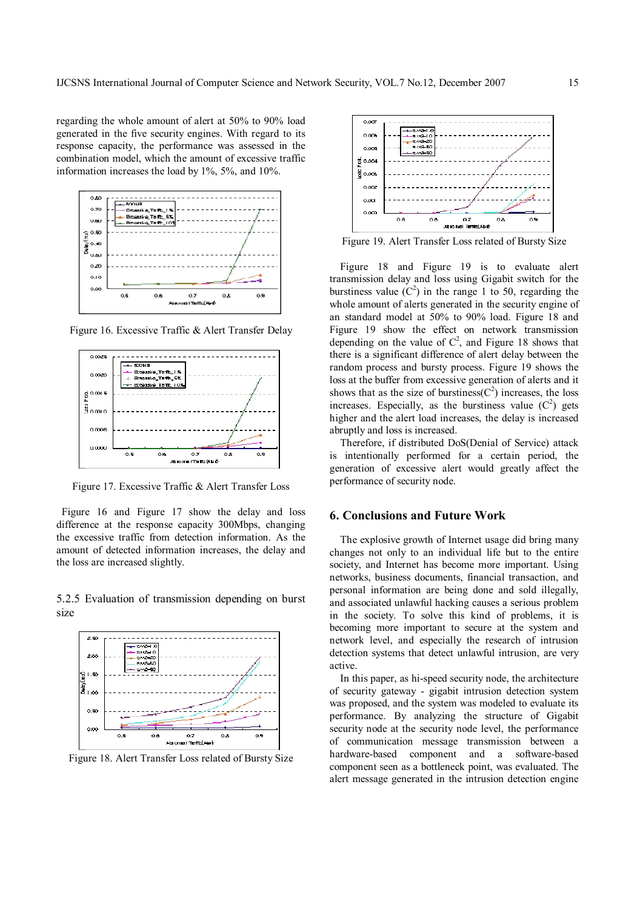regarding the whole amount of alert at 50% to 90% load generated in the five security engines. With regard to its response capacity, the performance was assessed in the combination model, which the amount of excessive traffic information increases the load by 1%, 5%, and 10%.



Figure 16. Excessive Traffic & Alert Transfer Delay



Figure 17. Excessive Traffic & Alert Transfer Loss

Figure 16 and Figure 17 show the delay and loss difference at the response capacity 300Mbps, changing the excessive traffic from detection information. As the amount of detected information increases, the delay and the loss are increased slightly.

5.2.5 Evaluation of transmission depending on burst size



Figure 18. Alert Transfer Loss related of Bursty Size



Figure 19. Alert Transfer Loss related of Bursty Size

Figure 18 and Figure 19 is to evaluate alert transmission delay and loss using Gigabit switch for the burstiness value  $(C^2)$  in the range 1 to 50, regarding the whole amount of alerts generated in the security engine of an standard model at 50% to 90% load. Figure 18 and Figure 19 show the effect on network transmission depending on the value of  $C^2$ , and Figure 18 shows that there is a significant difference of alert delay between the random process and bursty process. Figure 19 shows the loss at the buffer from excessive generation of alerts and it shows that as the size of burstiness( $C^2$ ) increases, the loss increases. Especially, as the burstiness value  $(C^2)$  gets higher and the alert load increases, the delay is increased abruptly and loss is increased.

Therefore, if distributed DoS(Denial of Service) attack is intentionally performed for a certain period, the generation of excessive alert would greatly affect the performance of security node.

# **6. Conclusions and Future Work**

The explosive growth of Internet usage did bring many changes not only to an individual life but to the entire society, and Internet has become more important. Using networks, business documents, financial transaction, and personal information are being done and sold illegally, and associated unlawful hacking causes a serious problem in the society. To solve this kind of problems, it is becoming more important to secure at the system and network level, and especially the research of intrusion detection systems that detect unlawful intrusion, are very active.

In this paper, as hi-speed security node, the architecture of security gateway - gigabit intrusion detection system was proposed, and the system was modeled to evaluate its performance. By analyzing the structure of Gigabit security node at the security node level, the performance of communication message transmission between a hardware-based component and a software-based component seen as a bottleneck point, was evaluated. The alert message generated in the intrusion detection engine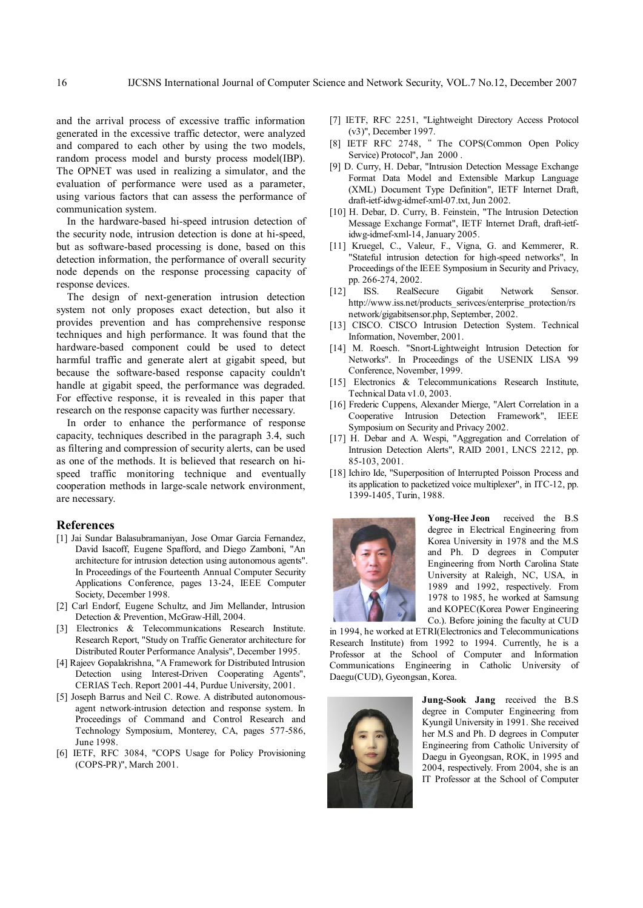and the arrival process of excessive traffic information generated in the excessive traffic detector, were analyzed and compared to each other by using the two models, random process model and bursty process model(IBP). The OPNET was used in realizing a simulator, and the evaluation of performance were used as a parameter, using various factors that can assess the performance of communication system.

In the hardware-based hi-speed intrusion detection of the security node, intrusion detection is done at hi-speed, but as software-based processing is done, based on this detection information, the performance of overall security node depends on the response processing capacity of response devices.

The design of next-generation intrusion detection system not only proposes exact detection, but also it provides prevention and has comprehensive response techniques and high performance. It was found that the hardware-based component could be used to detect harmful traffic and generate alert at gigabit speed, but because the software-based response capacity couldn't handle at gigabit speed, the performance was degraded. For effective response, it is revealed in this paper that research on the response capacity was further necessary.

In order to enhance the performance of response capacity, techniques described in the paragraph 3.4, such as filtering and compression of security alerts, can be used as one of the methods. It is believed that research on hispeed traffic monitoring technique and eventually cooperation methods in large-scale network environment, are necessary.

#### **References**

- [1] Jai Sundar Balasubramaniyan, Jose Omar Garcia Fernandez, David Isacoff, Eugene Spafford, and Diego Zamboni, "An architecture for intrusion detection using autonomous agents". In Proceedings of the Fourteenth Annual Computer Security Applications Conference, pages 13-24, IEEE Computer Society, December 1998.
- [2] Carl Endorf, Eugene Schultz, and Jim Mellander, Intrusion Detection & Prevention, McGraw-Hill, 2004.
- [3] Electronics & Telecommunications Research Institute. Research Report, "Study on Traffic Generator architecture for Distributed Router Performance Analysis", December 1995.
- [4] Rajeev Gopalakrishna, "A Framework for Distributed Intrusion Detection using Interest-Driven Cooperating Agents", CERIAS Tech. Report 2001-44, Purdue University, 2001.
- [5] Joseph Barrus and Neil C. Rowe. A distributed autonomousagent network-intrusion detection and response system. In Proceedings of Command and Control Research and Technology Symposium, Monterey, CA, pages 577-586, June 1998.
- [6] IETF, RFC 3084, "COPS Usage for Policy Provisioning (COPS-PR)", March 2001.
- [7] IETF, RFC 2251, "Lightweight Directory Access Protocol (v3)", December 1997.
- [8] IETF RFC 2748, " The COPS(Common Open Policy Service) Protocol", Jan 2000 .
- [9] D. Curry, H. Debar, "Intrusion Detection Message Exchange Format Data Model and Extensible Markup Language (XML) Document Type Definition", IETF Internet Draft, draft-ietf-idwg-idmef-xml-07.txt, Jun 2002.
- [10] H. Debar, D. Curry, B. Feinstein, "The Intrusion Detection Message Exchange Format", IETF Internet Draft, draft-ietfidwg-idmef-xml-14, January 2005.
- [11] Kruegel, C., Valeur, F., Vigna, G. and Kemmerer, R. "Stateful intrusion detection for high-speed networks", In Proceedings of the IEEE Symposium in Security and Privacy, pp. 266-274, 2002.
- [12] ISS. RealSecure Gigabit Network Sensor. http://www.iss.net/products\_serivces/enterprise\_protection/rs network/gigabitsensor.php, September, 2002.
- [13] CISCO. CISCO Intrusion Detection System. Technical Information, November, 2001.
- [14] M. Roesch. "Snort-Lightweight Intrusion Detection for Networks". In Proceedings of the USENIX LISA '99 Conference, November, 1999.
- [15] Electronics & Telecommunications Research Institute, Technical Data v1.0, 2003.
- [16] Frederic Cuppens, Alexander Mierge, "Alert Correlation in a Cooperative Intrusion Detection Framework", IEEE Symposium on Security and Privacy 2002.
- [17] H. Debar and A. Wespi, "Aggregation and Correlation of Intrusion Detection Alerts", RAID 2001, LNCS 2212, pp. 85-103, 2001.
- [18] Ichiro Ide, "Superposition of Interrupted Poisson Process and its application to packetized voice multiplexer", in ITC-12, pp. 1399-1405, Turin, 1988.



**Yong-Hee Jeon** received the B.S degree in Electrical Engineering from Korea University in 1978 and the M.S and Ph. D degrees in Computer Engineering from North Carolina State University at Raleigh, NC, USA, in 1989 and 1992, respectively. From 1978 to 1985, he worked at Samsung and KOPEC(Korea Power Engineering Co.). Before joining the faculty at CUD

in 1994, he worked at ETRI(Electronics and Telecommunications Research Institute) from 1992 to 1994. Currently, he is a Professor at the School of Computer and Information Communications Engineering in Catholic University of Daegu(CUD), Gyeongsan, Korea.



**Jung-Sook Jang** received the B.S degree in Computer Engineering from Kyungil University in 1991. She received her M.S and Ph. D degrees in Computer Engineering from Catholic University of Daegu in Gyeongsan, ROK, in 1995 and 2004, respectively. From 2004, she is an IT Professor at the School of Computer